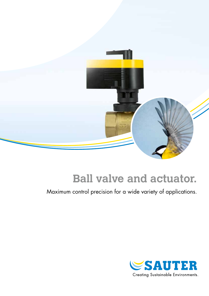

# **Ball valve and actuator.**

Maximum control precision for a wide variety of applications.

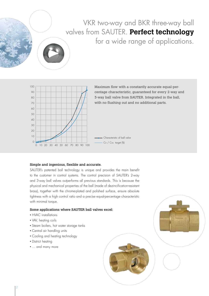# VKR two-way and BKR three-way ball valves from SAUTER. **Perfect technology** for a wide range of applications.



Maximum flow with a constantly accurate equal-percentage characteristic, guaranteed for every 2-way and 3-way ball valve from SAUTER. Integrated in the ball, with no flushing out and no additional parts.

#### Simple and ingenious, flexible and accurate.

SAUTER's patented ball technology is unique and provides the main benefit to the customer in control systems. The control precision of SAUTER's 2-way and 3-way ball valves outperforms all previous standards. This is because the physical and mechanical properties of the ball (made of dezincification-resistant brass), together with the chrome-plated and polished surface, ensure absolute tightness with a high control ratio and a precise equal-percentage characteristic with minimal torque.

#### Some applications where SAUTER ball valves excel:

- HVAC installations
- VAV, heating coils
- Steam boilers, hot water storage tanks
- Central air handling units
- Cooling and heating technology
- District heating
- ... and many more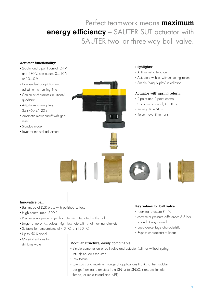# Perfect teamwork means **maximum energy efficiency –** SAUTER SUT actuator with SAUTER two- or three-way ball valve.

### Actuator functionality:

- 2-point and 3-point control, 24 V and 230 V, continuous, 0…10 V or 10…0 V
- Independent adaptation and adjustment of running time
- Choice of characteristic: linear/ quadratic
- Adjustable running time: 35 s/60 s/120 s
- Automatic motor cut-off with gear relief
- Standby mode
- Lever for manual adjustment



#### Highlights:

- Anti-jamming function
- Actuators with or without spring return
- Simple 'plug & play' installation

#### Actuator with spring return:

- 2-point and 3-point control
- Continuous control, 0...10 V
- Running time 90 s
- Return travel time 15 s



#### Innovative ball:

- Ball made of DZR brass with polished surface
- High control ratio: 500:1
- Precise equal-percentage characteristic integrated in the ball
- Large range of K<sub>vs</sub> values, high flow rate with small nominal diameter
- Suitable for temperatures of -10 °C to +130 °C
- Up to 50% alveol
- Material suitable for drinking water

#### Modular structure, easily combinable:

- Simple combination of ball valve and actuator (with or without spring return); no tools required
- Low torque
- Low costs and maximum range of applications thanks to the modular design (nominal diameters from DN15 to DN50, standard female thread, or male thread and NPT)

#### Key values for ball valve:

- Nominal pressure PN40
- Maximum pressure difference: 3.5 bar
- 2- and 3-way control
- Equal-percentage characteristic
- Bypass characteristic: linear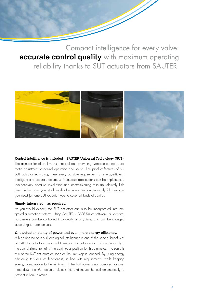Compact intelligence for every valve: **accurate control quality** with maximum operating reliability thanks to SUT actuators from SAUTER.



#### Control intelligence is included – SAUTER Universal Technology (SUT).

The actuator for all ball valves that includes everything: variable control, automatic adjustment to control operation and so on. The product features of our SUT actuator technology meet every possible requirement for energy-efficient, intelligent and accurate actuators. Numerous applications can be implemented inexpensively because installation and commissioning take up relatively little time. Furthermore, your stock levels of actuators will automatically fall, because you need just one SUT actuator type to cover all kinds of control.

#### Simply integrated – as required.

As you would expect, the SUT actuators can also be incorporated into integrated automation systems. Using SAUTER's *CASE Drives* software, all actuator parameters can be controlled individually at any time, and can be changed according to requirements.

#### One actuator, plenty of power and even more energy efficiency.

A high degree of in-built ecological intelligence is one of the special benefits of all SAUTER actuators. Two- and three-point actuators switch off automatically if the control signal remains in a continuous position for three minutes. The same is true of the SUT actuators as soon as the limit stop is reached. By using energy efficiently, this ensures functionality in line with requirements, while keeping energy consumption to the minimum. If the ball valve is not operated for over three days, the SUT actuator detects this and moves the ball automatically to prevent it from jamming.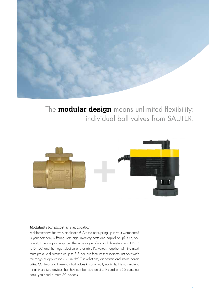

The **modular design** means unlimited flexibility: individual ball valves from SAUTER.



#### Modularity for almost any application.

A different valve for every application? Are the parts piling up in your warehouse? Is your company suffering from high inventory costs and capital tie-up? If so, you can start clearing some space. The wide range of nominal diameters (from DN15 to DN50) and the huge selection of available  $K_{vs}$  values, together with the maximum pressure difference of up to 3.5 bar, are features that indicate just how wide the range of applications is – in HVAC installations, air heaters and steam boilers alike. Our two- and three-way ball valves know virtually no limits. It is so simple to install these two devices that they can be fitted on site. Instead of 336 combinations, you need a mere 50 devices.